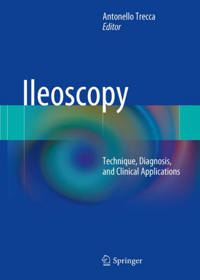**Antonello Trecca Editor** 

# lleoscopy

Technique, Diagnosis, and Clinical Applications

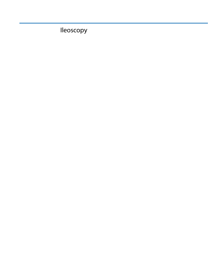Ileoscopy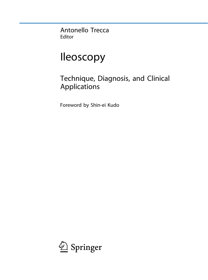Antonello Trecca Editor

# Ileoscopy

Technique, Diagnosis, and Clinical Applications

Foreword by Shin-ei Kudo

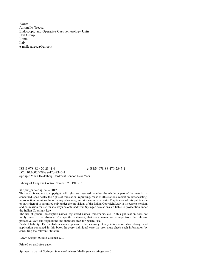Editor Antonello Trecca Endoscopic and Operative Gastroenterology Units USI Group Rome Italy e-mail: atrecca@alice.it

ISBN 978-88-470-2344-4 e-ISBN 978-88-470-2345-1 DOI 10.1007/978-88-470-2345-1 Springer Milan Heidelberg Dordrecht London New York

Library of Congress Control Number: 2011941715

- Springer-Verlag Italia 2012

This work is subject to copyright. All rights are reserved, whether the whole or part of the material is concerned, specifically the rights of translation, reprinting, reuse of illustrations, recitation, broadcasting, reproduction on microfilm or in any other way, and storage in data banks. Duplication of this publication or parts thereof is permitted only under the provisions of the Italian Copyright Law in its current version, and permission for use must always be obtained from Springer. Violations are liable to prosecution under the Italian Copyright Law.

The use of general descriptive names, registered names, trademarks, etc. in this publication does not imply, even in the absence of a specific statement, that such names are exempt from the relevant protective laws and regulations and therefore free for general use.

Product liability: The publishers cannot guarantee the accuracy of any information about dosage and application contained in this book. In every individual case the user must check such information by consulting the relevant literature.

Cover design: eStudio Calamar S.L.

Printed on acid-free paper

Springer is part of Springer Science+Business Media (www.springer.com)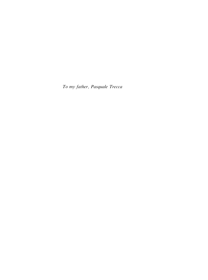To my father, Pasquale Trecca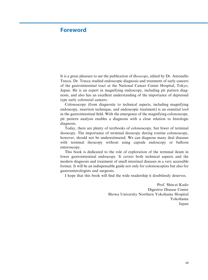# Foreword

It is a great pleasure to see the publication of IIeoscopy, edited by Dr. Antonello Trecca. Dr. Trecca studied endoscopic diagnosis and treatment of early cancers of the gastrointestinal tract at the National Cancer Center Hospital, Tokyo, Japan. He is an expert in magnifying endoscopy, including pit pattern diagnosis, and also has an excellent understanding of the importance of depressed type early colorectal cancers.

Colonoscopy (from diagnostic to technical aspects, including magnifying endoscopy, insertion technique, and endoscopic treatment) is an essential tool in the gastrointestinal field. With the emergence of the magnifying colonoscope, pit pattern analysis enables a diagnosis with a close relation to histologic diagnosis.

Today, there are plenty of textbooks of colonoscopy, but fewer of terminal ileoscopy. The importance of terminal ileoscopy during routine colonoscopy, however, should not be underestimated. We can diagnose many ileal diseases with terminal ileoscopy without using capsule endoscopy or balloon enteroscopy.

This book is dedicated to the role of exploration of the terminal ileum in lower gastrointestinal endoscopy. It covers both technical aspects and the modern diagnosis and treatment of small intestinal diseases in a very accessible format. It will be an indispensable guide not only for colonoscopists but also for gastroenterologists and surgeons.

I hope that this book will find the wide readership it doubtlessly deserves.

Prof. Shin-ei Kudo Digestive Disease Center Showa University Northern Yokohama Hospital Yokohama Japan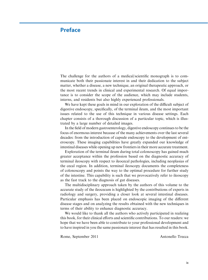# Preface

The challenge for the authors of a medical/scientific monograph is to communicate both their passionate interest in and their dedication to the subject matter, whether a disease, a new technique, an original therapeutic approach, or the most recent trends in clinical and experimental research. Of equal importance is to consider the scope of the audience, which may include students, interns, and residents but also highly experienced professionals.

We have kept these goals in mind in our exploration of the difficult subject of digestive endoscopy, specifically, of the terminal ileum, and the most important issues related to the use of this technique in various disease settings. Each chapter consists of a thorough discussion of a particular topic, which is illustrated by a large number of detailed images.

In the field of modern gastroenterology, digestive endoscopy continues to be the focus of enormous interest because of the many achievements over the last several decades: from the introduction of capsule endoscopy to the development of enteroscopy. These imaging capabilities have greatly expanded our knowledge of intestinal diseases while opening up new frontiers in their more accurate treatment.

Exploration of the terminal ileum during total colonoscopy has gained much greater acceptance within the profession based on the diagnostic accuracy of terminal ileoscopy with respect to ileocecal pathologies, including neoplasias of the cecal region. In addition, terminal ileoscopy documents the completeness of colonoscopy and points the way to the optimal procedure for further study of the intestine. This capability is such that we provocatively refer to ileoscopy as the fast track to the diagnosis of gut diseases.

The multidisciplinary approach taken by the authors of this volume to the accurate study of the ileocecum is highlighted by the contributions of experts in radiology and surgery, providing a closer look at several intestinal diseases. Particular emphasis has been placed on endoscopic imaging of the different disease stages and on analyzing the results obtained with the new techniques in terms of their ability to enhance diagnostic accuracy.

We would like to thank all the authors who actively participated in realizing this book, for their clinical efforts and scientific contributions. To our readers: we hope that we have been able to contribute to your professional development and to have inspired in you the same passionate interest that has resulted in this book.

Rome, September 2011 Antonello Trecca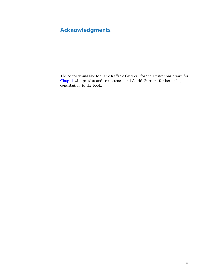# Acknowledgments

The editor would like to thank Raffaele Gurrieri, for the illustrations drawn for Chap. 1 with passion and competence, and Astrid Gurrieri, for her unflagging contribution to the book.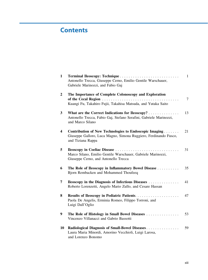# **Contents**

| $\mathbf{1}$            | Antonello Trecca, Giuseppe Cerno, Emilio Gentile Warschauer,<br>Gabriele Marinozzi, and Fabio Gaj                                               | $\mathbf{1}$ |
|-------------------------|-------------------------------------------------------------------------------------------------------------------------------------------------|--------------|
| $\boldsymbol{2}$        | The Importance of Complete Colonoscopy and Exploration<br>Kuangi Fu, Takahiro Fujii, Takahisa Matsuda, and Yutaka Saito                         | 7            |
| 3                       | What are the Correct Indications for Ileoscopy?<br>Antonello Trecca, Fabio Gaj, Stefano Serafini, Gabriele Marinozzi,<br>and Marco Silano       | 13           |
| $\overline{\mathbf{4}}$ | Contribution of New Technologies to Endoscopic Imaging<br>Giuseppe Galloro, Luca Magno, Simona Ruggiero, Ferdinando Fusco,<br>and Tiziana Rappa | 21           |
| 5                       | Marco Silano, Emilio Gentile Warschauer, Gabriele Marinozzi,<br>Giuseppe Cerno, and Antonello Trecca                                            | 31           |
| 6                       | The Role of Ileoscopy in Inflammatory Bowel Disease<br>Bjorn Rembacken and Mohammed Thoufeeq                                                    | 35           |
| 7                       | Ileoscopy in the Diagnosis of Infectious Diseases<br>Roberto Lorenzetti, Angelo Mario Zullo, and Cesare Hassan                                  | 41           |
| 8                       | Paola De Angelis, Erminia Romeo, Filippo Torroni, and<br>Luigi Dall'Oglio                                                                       | 47           |
| 9                       | The Role of Histology in Small Bowel Diseases<br>Vincenzo Villanacci and Gabrio Bassotti                                                        | 53           |
| 10                      | Radiological Diagnosis of Small-Bowel Diseases<br>Laura Maria Minordi, Amorino Vecchioli, Luigi Larosa,<br>and Lorenzo Bonomo                   | 59           |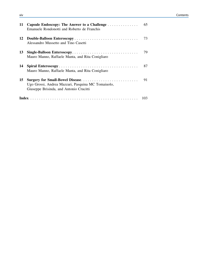| 11 | Capsule Endoscopy: The Answer to a Challenge<br>Emanuele Rondonotti and Roberto de Franchis                                      | 65 |  |  |
|----|----------------------------------------------------------------------------------------------------------------------------------|----|--|--|
| 12 | Double-Balloon Enteroscopy<br>Alessandro Mussetto and Tino Casetti                                                               | 73 |  |  |
| 13 | Single-Balloon Enteroscopy<br>Mauro Manno, Raffaele Manta, and Rita Conigliaro                                                   | 79 |  |  |
| 14 | Mauro Manno, Raffaele Manta, and Rita Conigliaro                                                                                 | 87 |  |  |
| 15 | Surgery for Small-Bowel Disease<br>Ugo Grossi, Andrea Mazzari, Pasquina MC Tomaiuolo,<br>Giuseppe Brisinda, and Antonio Crucitti | 91 |  |  |
|    |                                                                                                                                  |    |  |  |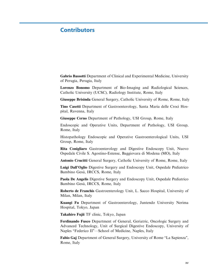# **Contributors**

Gabrio Bassotti Department of Clinical and Experimental Medicine, University of Perugia, Perugia, Italy

Lorenzo Bonomo Department of Bio-Imaging and Radiological Sciences, Catholic University (UCSC), Radiology Institute, Rome, Italy

Giuseppe Brisinda General Surgery, Catholic University of Rome, Rome, Italy

Tino Casetti Department of Gastroenterology, Santa Maria delle Croci Hospital, Ravenna, Italy

Giuseppe Cerno Department of Pathology, USI Group, Rome, Italy

Endoscopic and Operative Units, Department of Pathology, USI Group, Rome, Italy

Histopathology Endoscopic and Operative Gastroenterological Units, USI Group, Rome, Italy

Rita Conigliaro Gastroenterology and Digestive Endoscopy Unit, Nuovo Ospedale Civile S. Agostino-Estense, Baggiovara di Modena (MO), Italy

Antonio Crucitti General Surgery, Catholic University of Rome, Rome, Italy

Luigi Dall'Oglio Digestive Surgery and Endoscopy Unit, Ospedale Pediatrico Bambino Gesù, IRCCS, Rome, Italy

Paola De Angelis Digestive Surgery and Endoscopy Unit, Ospedale Pediatrico Bambino Gesù, IRCCS, Rome, Italy

Roberto de Franchis Gastroenterology Unit, L. Sacco Hospital, University of Milan, Milan, Italy

Kuangi Fu Department of Gastroenterology, Juntendo University Nerima Hospital, Tokyo, Japan

Takahiro Fujii TF clinic, Tokyo, Japan

Ferdinando Fusco Department of General, Geriatric, Oncologic Surgery and Advanced Technology, Unit of Surgical Digestive Endoscopy, University of Naples "Federico II"—School of Medicine, Naples, Italy

Fabio Gaj Department of General Surgery, University of Rome "La Sapienza", Rome, Italy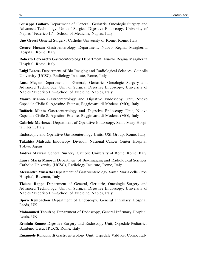Giuseppe Galloro Department of General, Geriatric, Oncologic Surgery and Advanced Technology, Unit of Surgical Digestive Endoscopy, University of Naples "Federico II"—School of Medicine, Naples, Italy

Ugo Grossi General Surgery, Catholic University of Rome, Rome, Italy

Cesare Hassan Gastroenterology Department, Nuovo Regina Margherita Hospital, Rome, Italy

Roberto Lorenzetti Gastroenterology Department, Nuovo Regina Margherita Hospital, Rome, Italy

Luigi Larosa Department of Bio-Imaging and Radiological Sciences, Catholic University (UCSC), Radiology Institute, Rome, Italy

Luca Magno Department of General, Geriatric, Oncologic Surgery and Advanced Technology, Unit of Surgical Digestive Endoscopy, University of Naples "Federico II"—School of Medicine, Naples, Italy

Mauro Manno Gastroenterology and Digestive Endoscopy Unit, Nuovo Ospedale Civile S. Agostino-Estense, Baggiovara di Modena (MO), Italy

Raffaele Manta Gastroenterology and Digestive Endoscopy Unit, Nuovo Ospedale Civile S. Agostino-Estense, Baggiovara di Modena (MO), Italy

Gabriele Marinozzi Department of Operative Endoscopy, Saint Mary Hospital, Terni, Italy

Endoscopic and Operative Gastroenterology Units, USI Group, Rome, Italy

Takahisa Matsuda Endoscopy Division, National Cancer Center Hospital, Tokyo, Japan

Andrea Mazzari General Surgery, Catholic University of Rome, Rome, Italy

Laura Maria Minordi Department of Bio-Imaging and Radiological Sciences, Catholic University (UCSC), Radiology Institute, Rome, Italy

Alessandro Mussetto Department of Gastroenterology, Santa Maria delle Croci Hospital, Ravenna, Italy

Tiziana Rappa Department of General, Geriatric, Oncologic Surgery and Advanced Technology, Unit of Surgical Digestive Endoscopy, University of Naples "Federico II"-School of Medicine, Naples, Italy

Bjorn Rembacken Department of Endoscopy, General Infirmary Hospital, Leeds, UK

Mohammed Thoufeeq Department of Endoscopy, General Infirmary Hospital, Leeds, UK

Erminia Romeo Digestive Surgery and Endoscopy Unit, Ospedale Pediatrico Bambino Gesù, IRCCS, Rome, Italy

Emanuele Rondonotti Gastroenterology Unit, Ospedale Valduce, Como, Italy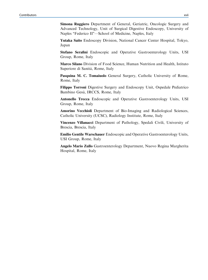Simona Ruggiero Department of General, Geriatric, Oncologic Surgery and Advanced Technology, Unit of Surgical Digestive Endoscopy, University of Naples "Federico II"—School of Medicine, Naples, Italy

Yutaka Saito Endoscopy Division, National Cancer Center Hospital, Tokyo, Japan

Stefano Serafini Endoscopic and Operative Gastroenterology Units, USI Group, Rome, Italy

Marco Silano Division of Food Science, Human Nutrition and Health, Istituto Superiore di Sanità, Rome, Italy

Pasquina M. C. Tomaiuolo General Surgery, Catholic University of Rome, Rome, Italy

Filippo Torroni Digestive Surgery and Endoscopy Unit, Ospedale Pediatrico Bambino Gesù, IRCCS, Rome, Italy

Antonello Trecca Endoscopic and Operative Gastroenterology Units, USI Group, Rome, Italy

Amorino Vecchioli Department of Bio-Imaging and Radiological Sciences, Catholic University (UCSC), Radiology Institute, Rome, Italy

Vincenzo Villanacci Department of Pathology, Spedali Civili, University of Brescia, Brescia, Italy

Emilio Gentile Warschauer Endoscopic and Operative Gastroenterology Units, USI Group, Rome, Italy

Angelo Mario Zullo Gastroenterology Department, Nuovo Regina Margherita Hospital, Rome, Italy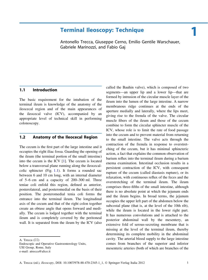# **Terminal Ileoscopy: Technique**

Antonello Trecca, Giuseppe Cerno, Emilio Gentile Warschauer, Gabriele Marinozzi, and Fabio Gaj

### 1.1 Introduction

The basic requirement for the intubation of the terminal ileum is knowledge of the anatomy of the ileocecal region and of the main appearances of the ileocecal valve (ICV), accompanied by an appropriate level of technical skill in performing colonoscopy.

### 1.2 Anatomy of the Ileocecal Region

The cecum is the first part of the large intestine and it occupies the right iliac fossa. Guarding the opening of the ileum (the terminal portion of the small intestine) into the cecum is the ICV [1]. The cecum is located below a transversal plane running along the ileocecalcolic sphincter (Fig. 1.1). It forms a rounded sac between 6 and 10 cm long, with an internal diameter of 5–6 cm and a capacity of 200–300 ml. Three teniae coli enfold this region, defined as anterior, posterolateral, and posteromedial on the basis of their position. The posteromedial tenia coli forms the entrance into the terminal ileum. The longitudinal axis of the cecum and that of the right colon together create an obtuse angle that opens forward and medially. The cecum is lodged together with the terminal ileum and is completely covered by the peritoneal wall. It is separated from the ileum by the ICV (also

A. Trecca  $(\boxtimes)$ 

Endoscopic and Operative Gastroenterology Units, USI Group, Rome, Italy e-mail: atrecca@alice.it

called the Bauhin valve), which is composed of two segments—an upper lip and a lower lip—that are formed by intrusion of the circular muscle layer of the ileum into the lumen of the large intestine. A narrow membranous ridge continues at the ends of the aperture medially and laterally, where the lips meet, giving rise to the frenula of the valve. The circular muscle fibers of the ileum and those of the cecum combine to form the circular sphincter muscle of the ICV, whose role is to limit the rate of food passage into the cecum and to prevent material from returning to the small intestine. The valve acts through the contraction of the frenula in response to overstretching of the cecum, but it has minimal sphincteric action, a fact that explains the common observation of barium reflux into the terminal ileum during a barium enema examination. Intestinal occlusion results in a persistent contraction of the ICV, with consequent rupture of the cecum (called diastasis rupture), or its relaxation, with continuous reflux of the feces and the overstretching of the terminal ileum. The ileum comprises three-fifths of the small intestine, although there is no absolute point at which the jejunum ends and the ileum begins. In broad terms, the jejunum occupies the upper left part of the abdomen below the subcostal plane (that is, at the level of the 10th rib), while the ileum is located in the lower right part. It has numerous convolutions and is attached to the posterior abdominal wall by the mesentery, an extensive fold of serous-secreting membrane that is missing at the level of the terminal ileum, thereby determining its complete mobility in the abdominal cavity. The arterial blood supply to the large intestine comes from branches of the superior and inferior mesenteric arteries (both of which are branches of the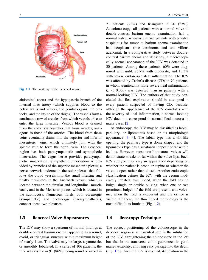

Fig. 1.1 The anatomy of the ileocecal region

abdominal aorta) and the hypogastric branch of the internal iliac artery (which supplies blood to the pelvic walls and viscera, the genital organs, the buttocks, and the inside of the thighs). The vessels form a continuous row of arcades from which vessels arise to enter the large intestine. Venous blood is drained from the colon via branches that form arcades, analogous to those of the arteries. The blood from these veins eventually drains into the superior and inferior mesenteric veins, which ultimately join with the splenic vein to form the portal vein. The ileocecal region has both parasympathetic and sympathetic innervation. The vagus nerve provides parasympathetic innervation. Sympathetic innervation is provided by branches of the superior mesenteric plexus, a nerve network underneath the solar plexus that follows the blood vessels into the small intestine and finally terminates in the Auerbach plexus, which is located between the circular and longitudinal muscle coats, and in the Meissner plexus, which is located in the submucosa. Numerous fibrils, both adrenergic (sympathetic) and cholinergic (parasympathetic), connect these two plexuses.

### 1.3 Ileocecal Valve Appearances

The ICV may show a spectrum of normal findings at double-contrast barium enema, appearing as a round, ovoid, or triangular structure with a maximum height of nearly 4 cm. The valve may be large, asymmetric, or smoothly lobulated. In a series of 106 patients, the ICV was visible in 91 (86%), being round or ovoid in

71 patients (78%) and triangular in 20 (22%). At colonoscopy, all patients with a normal valve at double-contrast barium enema examination had a normal valve, whereas the two patients with a valve suspicious for tumor at barium enema examination had neoplasms (one carcinoma and one villous adenoma). In a comparative study between doublecontrast barium enema and ileoscopy, a macroscopically normal appearance of the ICV was detected in 30 patients. Among these patients, 60% were diagnosed with mild, 26.7% with moderate, and 13.3% with severe endoscopic ileal inflammation. The ICV was affected by Crohn's disease (CD) in 70 patients, in whom significantly more severe ileal inflammation  $(p \lt 0.005)$  was detected than in patients with a normal-looking ICV. The authors of that study concluded that ileal exploration should be attempted in every patient suspected of having CD, because, although the appearance of the ICV correlates with the severity of ileal inflammation, a normal-looking ICV does not correspond to normal ileal mucosa in many cases [2].

At endoscopy, the ICV may be classified as labial, papillary, or lipomatous based on its morphologic appearance  $[3, 4]$ . The labial type has a slit-like opening, the papillary type is dome shaped, and the lipomatous type has a substantial deposit of fat within its lips. However, most non-lipomatous valves will demonstrate streaks of fat within the valve lips. Each ICV subtype may vary in appearance depending on whether the patient is prone or supine or whether the valve is open rather than closed. Another endoscopic classification defines the ICV with the cecum moderately inflated: thin lipped, when the fold has no bulge; single or double bulging, when one or two prominent bulges of the fold are present; and volcanic, when the fold is exuberant and the orifice is visible. Of these, the thin lipped morphology is the most difficult to intubate (Fig. 1.2).

### 1.4 Ileoscopy: Technique

The correct positioning of the colonoscope in the ileocecal region is an essential step in the intubation of the ICV. Straightening the colonoscope in the left but also in the transverse colon guarantees its good maneuverability, allowing easy passage into the ileum (Fig. 1.3). Once the ICV is reached, its position in the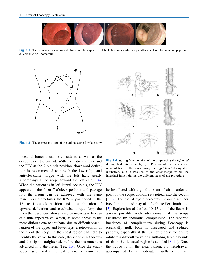

Fig. 1.2 The ileocecal valve morphology. a Thin-lipped or labial. b Single-bulge or papillary. c Double-bulge or papillary. d Volcanic or lipomatous



Fig. 1.3 The correct position of the colonoscope for ileoscopy

intestinal lumen must be considered as well as the decubitus of the patient. With the patient supine and the ICV at the 9 o'clock position, downward deflection is recommended to stretch the lower lip, and anti-clockwise torque with the left hand gently accompanying the scope toward the left (Fig. 1.4). When the patient is in left lateral decubitus, the ICV appears in the 6- or 7-o'clock position and passage into the ileum can be achieved with the same maneuvers. Sometimes the ICV is positioned in the 12- to 1-o'clock position and a combination of upward deflection and clockwise torque (opposite from that described above) may be necessary. In case of a thin-lipped valve, which, as noted above, is the most difficult one to intubate, due to difficult visualization of the upper and lower lips, a retroversion of the tip of the scope in the cecal region can help to identify the valve. In this case, the scope is withdrawn and the tip is straightened, before the instrument is advanced into the ileum (Fig. 1.5). Once the endoscope has entered in the ileal lumen, the ileum must



Fig. 1.4 a, d, g Manipulation of the scope using the left hand during ileal intubation. b, e, h Position of the patient and manipulation of the scope using the *right hand* during ileal intubation. c, f, i Position of the colonoscope within the intestinal lumen during the different steps of the procedure

be insufflated with a good amount of air in order to position the scope, avoiding its retreat into the cecum [5, 6]. The use of hyoscine-n-butyl bromide reduces bowel motion and may also facilitate ileal intubation [7]. Exploration of the last 10–15 cm of the ileum is always possible, with advancement of the scope facilitated by abdominal compression. The reported incidence of complications during ileoscopy is essentially null, both in unsedated and sedated patients, especially if the use of biopsy forceps to intubate a difficult valve or insufflating large amounts of air in the ileocecal region is avoided  $[8-11]$ . Once the scope is in the ileal lumen, its withdrawal, accompanied by a moderate insufflation of air,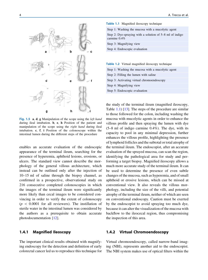

Fig. 1.5 a, d, g Manipulation of the scope using the *left hand* during ileal intubation. b, e, h Position of the patient and manipulation of the scope using the right hand during ileal intubation. c, f, i Position of the colonoscope within the intestinal lumen during the different steps of the procedure

enables an accurate evaluation of the endoscopic appearance of the terminal ileum, searching for the presence of hyperemia, aphthoid lesions, erosions, or ulcers. The standard view cannot describe the morphology of the general villous architecture, which instead can be outlined only after the injection of 10–15 ml of saline through the biopsy channel, as confirmed in a prospective, observational study on 216 consecutive completed colonoscopies in which the images of the terminal ileum were significantly more likely than cecal images to be considered convincing in order to verify the extent of colonoscopy  $(p \lt 0.0001$  for all reviewers). The instillation of sterile water in the intestinal lumen was considered by the authors as a prerequisite to obtain accurate photodocumentation [12].

### 1.4.1 Magnified Ileoscopy

The important clinical results obtained with magnifying endoscopy for the detection and definition of early colorectal cancer led us to reproduce this technique for



Step 1: Washing the mucosa with a mucolytic agent

Step 2: Dye-spraying with a solution of 5–8 ml of indigo carmine 0.4%

Step 3: Magnifying view

Step 4: Endoscopic evaluation

Table 1.2 Virtual magnified ileoscopy technique

Step 1: Washing the mucosa with a mucolytic agent

Step 2: Filling the lumen with saline

Step 3: Activating virtual chromoendoscopy

Step 4: Magnifying view

Step 5: Endoscopic evaluation

the study of the terminal ileum (magnified ileoscopy, Table 1.1) [13]. The steps of the procedure are similar to those followed for the colon, including washing the mucosa with mucolytic agents in order to enhance the villous profile and then spraying the lumen with dye (5–8 ml of indigo carmine 0.4%). The dye, with its capacity to pool in any minimal depression, further enhances the villous profile, highlighting the presence of lymphoid follicles and the subtotal or total atrophy of the terminal ileum. The endoscopist, after an accurate evaluation of the sprayed mucosa, can scan the region, identifying the pathological area for study and performing a target biopsy. Magnified ileoscopy allows a much more accurate study of the terminal ileum. It can be used to determine the presence of even subtle changes of the mucosa, such as hyperemia, and of small aphthoid or erosive lesions, which can be missed at conventional view. It also reveals the villous morphology, including the size of the villi, and potential atrophy of the terminal ileum, neither of which are seen on conventional endoscopy. Caution must be exerted by the endoscopist to avoid spraying too much dye, because it can alter the visualization of the mucosa with backflow to the ileocecal region, thus compromising the inspection of this area.

### 1.4.2 Virtual Chromoendoscopy

Virtual chromoendoscopy, called narrow-band imaging (NBI), represents another aid to the endoscopist. The NBI system makes use of optical filters within the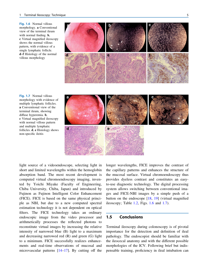Fig. 1.6 Normal villous morphology. a Conventional view of the terminal ileum with normal finding. b, c Virtual magnified ileoscopy shows the normal villous pattern, with evidence of a single lymphatic follicle. d–f Histology of the normal villous morphology



Fig. 1.7 Normal villous morphology with evidence of multiple lymphatic follicles. a Conventional view of the terminal ileum, showing diffuse hyperemia. b, c Virtual magnified ileoscopy with normal villous pattern and multiple lymphatic follicles. d, e Histology shows non-specific ileitis

light source of a videoendoscope, selecting light in short and limited wavelengths within the hemoglobin absorption band. The most recent development is computed virtual chromoendoscopy imaging, invented by Yoichi Miyake (Faculty of Engineering, Chiba University, Chiba, Japan) and introduced by Fujinon as Fujinon Intelligent Color Enhancement (FICE). FICE is based on the same physical principle as NBI, but due to a new computed spectral estimation technology it is not dependent on optical filters. The FICE technology takes an ordinary endoscopic image from the video processor and arithmetically processes the reflected photons to reconstitute virtual images by increasing the relative intensity of narrowed blue (B) light to a maximum and decreasing narrowed red (R) and green (G) light to a minimum. FICE successfully realizes enhancements and real-time observations of mucosal and microvascular patterns  $[14–17]$ . By cutting off the

longer wavelengths, FICE improves the contrast of the capillary patterns and enhances the structure of the mucosal surface. Virtual chromoendoscopy thus provides dyeless contrast and constitutes an easyto-use diagnostic technology. The digital processing system allows switching between conventional images and FICE-NBI images by a simple push of a button on the endoscope [18, 19] (virtual magnified ileoscopy; Table 1.2, Figs.  $1.6$  and  $1.7$ ).

### 1.5 Conclusions

Terminal ileoscopy during colonoscopy is of pivotal importance for the detection and definition of ileal pathology. The endoscopist should be familiar with the ileocecal anatomy and with the different possible morphologies of the ICV. Following brief but indispensable training, proficiency in ileal intubation can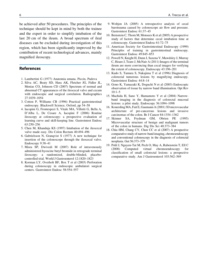be achieved after 50 procedures. The principles of the technique should be kept in mind by both the trainee and the expert in order to simplify intubation of the last 20 cm of the ileum. A broad spectrum of ileal diseases can be excluded during investigation of this region, which has been significantly improved by the contribution of recent technological advances, mainly magnified ileoscopy.

### References

- 1. Lambertini G (1977) Anatomia umana. Piccin, Padova
- 2. Silva AC, Beaty SD, Hara AK, Fletcher JG, Fidler JL, Menias CO, Johnson CD (2007) Spectrum of normal and abnormal CT appearances of the ileocecal valve and cecum with endoscopic and surgical correlation. Radiographics 27:1039–1054
- 3. Cotton P, Williams CB (1996) Practical gastrointestinal endoscopy. Blackwell Science, Oxford, pp 54–58
- 4. Iacopini G, Frontespezi S, Vitale MA, Villotti G, Bella A, D'Alba L, De Cesare A, Iacopini F (2006) Routine ileoscopy at colonoscopy: a prospective evaluation of learning curve and skill-keeping line. Gastrointest Endosc 63:250–256
- 5. Chen M, Khanduja KS (1997) Intubation of the ileocecal valve made easy. Dis Colon Rectum 40:494–496
- 6. Gabrielsson N, Granqvist S (1977) A new technique for insertion of the colonoscope through the ileocecal valve. Endoscopy 9:38–41
- 7. Misra SP, Dwivedi M (2007) Role of intravenously administered hyoscine butyl bromide in retrograde terminal ileoscopy: a randomized, double-blinded, placebocontrolled trial. World J Gastroenterol 12:1820–1823
- 8. Korman LY, Overholt BF, Box T et al (2003) Perforation during colonoscopy in endoscopic ambulatori surgical centers. Gastrointest Endosc 58:554–557
- 9. Woltjen JA (2005) A retrospective analysis of cecal barotrauma caused by colonoscope air flow and pressure. Gastrointest Endosc 61:37–45
- 10. Bernstein C, Thorn M, Monsees K et al (2005) A prospective study of factors that determine cecal intubation time at colonoscopy. Gastrointest Endosc 61:72–75
- 11. American Society for Gastrointestinal Endoscopy (1999) Principles of training in gastrointestinal endoscopy. Gastrointest Endosc 49:845–853
- 12. Powell N, Knight H, Dunn J, Saxena V, Mawdsley J, Murray C, Hoare J, Teare J, McNair A (2011) Images of the terminal ileum are more convincing than cecal images for verifying the extent of colonoscopy. Endoscopy 43:196–201
- 13. Kudo S, Tamura S, Nakajima T et al (1996) Diagnosis of colorectal tumorous lesions by magnifying endoscopy. Gastrointest Endosc 44:8–14
- 14. Gono K, Yamazaki K, Doguchi N et al (2003) Endoscopic observation of tissue by narrow band illumination. Opt Rev  $10:1-5$
- 15. Machida H, Sano Y, Hamamoto Y et al (2004) Narrowband imaging in the diagnosis of colorectal mucosal lesions: a pilot study. Endoscopy 36:1094–1098
- 16. Konerding MA, Fait E, Gaumann A (2001) 3D microvascular architecture of pre-cancerous lesions and invasive carcinomas of the colon. Br J Cancer 84:1354–1362
- 17. Skinner SA, Frydman GM, Obrien PE (1995) Microvascular structure of benign and malignant tumors of the colon in humans. Dig Dis Sci 40:373–384
- 18. Chiu HM, Chang CY, Chen CC et al (2007) A prospective comparative study of narrow-band imaging, chromoendoscopy and conventional colonoscopy in the diagnosis of colorectal neoplasia. Gut 56:373–379
- 19. Pohl J, Nguyen-Tat M, Pech O, May A, Rabenstein T, Ell C (2008) Computed virtual chromoendoscopy for classification of small colorectal lesions: a prospective comparative study. Am J Gastroenterol 103:562–569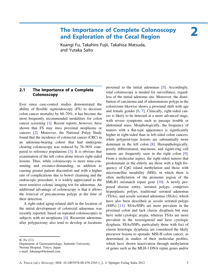# The Importance of Complete Colonoscopy 2 and Exploration of the Cecal Region

Kuangi Fu, Takahiro Fujii, Takahisa Matsuda, and Yutaka Saito

### 2.1 The Importance of a Complete Colonoscopy

Ever since case-control studies demonstrated the ability of flexible sigmoidoscopy (FS) to decrease colon cancer mortality by 60–70%, it has become the most frequently recommended modalities for colon cancer screening [1]. Recent reports, however, have shown that FS may miss proximal neoplasms or cancers [2]. Moreover, the National Polyp Study found that the incidence of colorectal cancer (CRC) in an adenoma-bearing cohort that had undergone clearing colonoscopy was reduced by 76–90% compared to reference populations [3]. It is obvious that examination of the left colon alone misses right-sided lesions. Thus, while colonoscopy is more time-consuming and resource-demanding, in addition to causing greater patient discomfort and with a higher rate of complications due to bowel cleansing and the endoscopic procedure, it is widely appreciated as the most sensitive colonic imaging test for adenomas. An additional advantage of colonoscopy is that it allows the removal of precancerous polyps at the time of their detection.

A right-sided aging-related shift in the location of the initial development of colorectal adenomas was recently reported, based on repeated colonoscopies in subjects with no neoplasms [4]. Recurrent adenomas after polypectomy also tend to develop at locations

proximal to the initial adenomas [5]. Accordingly, total colonoscopy is needed for surveillance, regardless of the initial adenoma site. Moreover, the distribution of carcinoma and of adenomatous polyps in the colorectum likewise shows a proximal shift with age and female gender [6, 7]. Clinically, right-sided cancer is likely to be detected at a more advanced stage, with severe symptoms such as passage trouble or abdominal mass. Morphologically, the frequency of tumors with a flat-type appearance is significantly higher in right-sided than in left-sided colon cancers, while polypoid-type lesions are substantially more dominant in the left colon [8]. Histopathologically, poorly differentiated, mucinous, and signet-ring cell tumors are frequently seen in the right colon [9]. From a molecular aspect, the right-sided tumors that predominate in the elderly are those with a high frequency of CpG island methylation and those with microsatellite instability (MSI), in which there is often methylation of the promoter region of the hMLH1 mismatch repair gene [10]. A newly proposed disease entity, serrated polyps, comprises hyperplastic polyps, traditional serrated adenomas (TSAs), and sessile serrated adenomas (SSAs), which have also been described as sessile serrated polyps (SSPs) [11]. SSAs/SSPs are more prevalent in the proximal colon and lack classic dysplasia but may have mild cytologic atypia, whereas TSAs are more prevalent in the rectosigmoid and have cytologic dysplasia. SSAs/SSPs, particularly those with foci of classic histologic dysplasia, are considered the likely precursor lesions to sporadic MSI-H colon cancer, as determined in studies of their molecular profiles, which have shown inactivation through methylation of genes such as the MLH-1 DNA repair genes and/or

K. Fu  $(\boxtimes)$ 

Department of Gastroenterology, Juntendo University Nerima Hospital, Tokyo, Japan e-mail: fukuangi@hotmail.com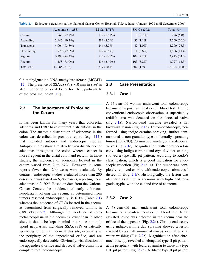|              | Adenoma (14,285) | $M-Ca(1,717)$  | SM-Ca (302)  | Total $(\%)$  |
|--------------|------------------|----------------|--------------|---------------|
| Cecum        | 860 (87.2%)      | 119 $(12.1\%)$ | 7(0.7%)      | 986(6.0)      |
| Ascending    | 2,942 (90.2%)    | 283 (8.7%)     | 35 $(1.1\%)$ | 3,260(20.0)   |
| Transverse   | $4,004(93.3\%)$  | 244 (5.7%)     | 42 $(1.0\%)$ | 4,290(26.3)   |
| Descending   | 1,723 (92.8%)    | 122 $(6.6\%)$  | 11 $(0.6\%)$ | 1,856(11.4)   |
| Sigmoid      | 3,298 $(84.2\%)$ | 513 (13.1%)    | 104 $(2.7%)$ | 3,915(24.0)   |
| Rectum       | $1,458(73.0\%)$  | 436 (21.8%)    | $103(5.2\%)$ | 1,997(12.3)   |
| Total $(\%)$ | 14,285 (87.6)    | 1,717(10.5)    | 302(1.9)     | 16,304(100.0) |

Table 2.1 Endoscopic treatment at the National Cancer Center Hospital, Tokyo, Japan (January 1998 until September 2006)

0-6-methylguanine DNA methyltransferase (MGMT) [12]. The presence of SSAs/SSPs ( $\geq$ 10 mm in size) is also reported to be a risk factor for CRC, particularly of the proximal colon [13].

### 2.2 The Importance of Exploring the Cecum

It has been known for many years that colorectal adenoma and CRC have different distributions in the colon. The anatomic distribution of adenomas in the colon was described in previous reports (e.g., [14]) that included autopsy and endoscopic studies. Autopsy studies show a relatively even distribution of adenomas throughout the colon whereas cancer is more frequent in the distal colon and rectum. In those studies, the incidence of adenomas located in the cecum varied from 2 to 67%. However, in some reports fewer than 200 cases were evaluated. By contrast, endoscopic studies evaluated more than 200 cases (one was based on 6,942 cases), reporting cecal adenomas in 2–20%. Based on data from the National Cancer Center, the incidence of early colorectal neoplasia involving the cecum, as determined from tumors resected endoscopically, is 6.0% (Table 2.1) whereas the incidence of CRCs located in the cecum, as determined from surgically removed tumors, is 6.8% (Table 2.2). Although the incidence of colorectal neoplasia in the cecum is lower than in other sites, it should be kept in mind that some non-polypoid neoplasias, including SSAs/SSPs or laterally spreading tumor, can occur at this site, especially at the periphery of the appendiceal orifice, and are endoscopically detectable. Obviously, visualization of the appendiceal orifice and ileocecal valve confirms a complete total colonoscopy.

### 2.3 Case Presentation

### 2.3.1 Case 1

A 74-year-old woman underwent total colonoscopy because of a positive fecal occult blood test. During conventional endoscopic observation, a superficially reddish area was detected on the ileocecal valve (Fig. 2.1a). Narrow-band imaging revealed a flat brownish lesion (Fig. 2.1b). Chromoendoscopy, performed using indigo-carmine spraying, further demonstrated a non-granular type of laterally spreading tumor (LST-NG), 20 mm in diameter, on the ileocecal valve (Fig. 2.1c). Magnification with chromoendoscopy using indigo-carmine and crystal-violet staining showed a type IIIL pit pattern, according to Kudo's classification, which is a good indication for endoscopic resection (Fig. 2.1d, e). The tumor was completely removed en bloc with endoscopic submucosal dissection (Fig. 2.1f). Histologically, the lesion was identified as a tubular adenoma with high- and lowgrade atypia, with the cut end free of adenoma.

### 2.3.2 Case 2

A 48-year-old man underwent total colonoscopy because of a positive fecal occult blood test. A flat elevated lesion was detected in the cecum near the orifice of the appendix (Fig. 2.2a). Chromoendoscopy using indigo-carmine day spraying showed a lesion covered by a small amount of mucus, even after vital water washing (Fig. 2.2b). Magnification after chromoendoscopy revealed an elongated type II pit pattern at the periphery, with features similar to those of a type IIIL pit pattern (Fig. 2.2c). A dilated type II pit pattern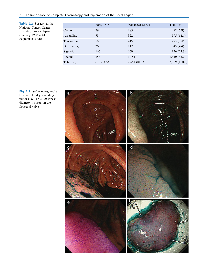Table 2.2 Surgery at the National Cancer Center Hospital, Tokyo, Japan (January 1998 until September 2006)

|                   | Early $(618)$ | Advanced $(2,651)$ | Total $(\%)$    |
|-------------------|---------------|--------------------|-----------------|
| Cecum             | 39            | 183                | 222(6.8)        |
| Ascending         | 73            | 322                | 395 (12.1)      |
| <b>Transverse</b> | 58            | 215                | 273(8.4)        |
| Descending        | 26            | 117                | 143(4.4)        |
| Sigmoid           | 166           | 660                | 826 (25.3)      |
| Rectum            | 256           | 1,154              | 1,410(43.0)     |
| Total $(\%)$      | 618 (18.9)    | 2,651(81.1)        | $3,269$ (100.0) |
|                   |               |                    |                 |

Fig. 2.1 a–f A non-granular type of laterally spreading tumor (LST-NG), 20 mm in diameter, is seen on the ileocecal valve

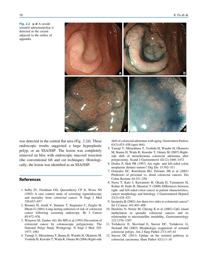

Fig. 2.2 a–d A sessile serrated adenoma/polyp is detected in the cecum adjacent to the orifice of appendix

was detected in the central flat area (Fig. 2.2d). These endoscopic results suggested a large hyperplastic polyp, or an SSA/SSP. The lesion was completely removed en bloc with endoscopic mucosal resection (the conventional lift and cut technique). Histologically, the lesion was identified as an SSA/SSP.

### References

- 1. Selby JV, Friedman GD, Quesenberry CP Jr, Weiss NS (1992) A case control study of screening sigmoidoscopy and mortality from colorectal cancer. N Engl J Med 326:653–657
- 2. Brenner H, Arndt V, Sturmer T, Stegmaier C, Ziegler H, Dhom G (2001) Long-lasting reduction of risk of colorectal cancer following screening endoscopy. Br J Cancer 85:972–976
- 3. Winawer SJ, Zauber AG, Ho MN et al (1993) Prevention of colorectal cancer by colonoscopic polypectomy. The National Polyp Study Workgroup. N Engl J Med 329: 1977–1981
- 4. Yamaji Y, Mitsushima T, Ikuma H, Watabe H, Okamoto M, Yoshida H, Kawabe T, Wada R, Omata M (2006) Right-side

shift of colorectal adenomas with aging. Gastrointest Endosc 63(3):453–458 (quiz 464)

- 5. Yamaji Y, Mitsushima T, Yoshida H, Watabe H, Okamoto M, Ikuma H, Wada R, Kawabe T, Omata M (2007) Rightside shift of metachronous colorectal adenomas after polypectomy. Scand J Gastroenterol 42(12):1466–1472
- 6. Distler P, Holt PR (1997) Are right- and left-sided colon neoplasms distinct tumors? Dig Dis 15:302–311
- 7. Gonzalez EC, Roetzheim RG, Ferrante JM et al (2001) Predictors of proximal vs. distal colorectal cancers. Dis Colon Rectum 44:251–258
- 8. Nawa T, Kato J, Kawamoto H, Okada H, Yamamoto H, Kohno H, Endo H, Shiratori Y (2008) Differences between right- and left-sided colon cancer in patient characteristics, cancer morphology and histology. J Gastroenterol Hepatol 23(3):418–423
- 9. Iacopetta B (2002) Are there two sides to colorectal cancer? Int J Cancer 101:403–408
- 10. Hawkins N, Norrie M, Cheong K et al (2002) CpG island methylation in sporadic colorectal cancers and its relationship to microsatellite instability. Gastroenterology 122:1376–1387
- 11. Torlakovic E, Skovlund E, Snover DC, Torlakovic G, Nesland JM (2003) Morphologic reappraisal of serrated colorectal polyps. Am J Surg Pathol 27(1):65–81
- 12. Snover DC (2011) Update on the serrated pathway to colorectal carcinoma. Hum Pathol 42(1):1–10